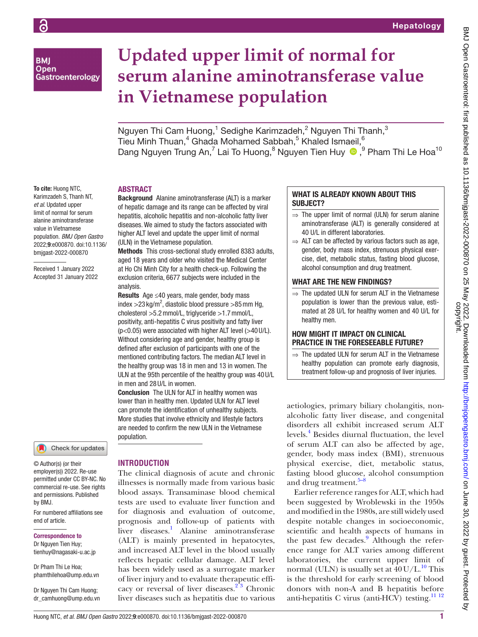**BMI Open** Gastroenterology

To cite: Huong NTC, Karimzadeh S, Thanh NT, *et al*. Updated upper limit of normal for serum alanine aminotransferase value in Vietnamese population. *BMJ Open Gastro* 2022;9:e000870. doi:10.1136/ bmjgast-2022-000870

Received 1 January 2022 Accepted 31 January 2022

# **Updated upper limit of normal for serum alanine aminotransferase value in Vietnamese population**

Nguyen Thi Cam Huong,<sup>1</sup> Sedighe Karimzadeh,<sup>2</sup> Nguyen Thi Thanh,<sup>3</sup> Tieu Minh Thuan, $^4$  Ghada Mohamed Sabbah, $^5$  Khaled Ismaeil, $^6$ DangNguyen Trung An,<sup>7</sup> Lai To Huong,<sup>8</sup> Nguyen Tien Huy <sup>n 9</sup>, <sup>9</sup> Pham Thi Le Hoa<sup>10</sup>

# **ABSTRACT**

Background Alanine aminotransferase (ALT) is a marker of hepatic damage and its range can be affected by viral hepatitis, alcoholic hepatitis and non-alcoholic fatty liver diseases. We aimed to study the factors associated with higher ALT level and update the upper limit of normal (ULN) in the Vietnamese population.

Methods This cross-sectional study enrolled 8383 adults, aged 18 years and older who visited the Medical Center at Ho Chi Minh City for a health check-up. Following the exclusion criteria, 6677 subjects were included in the analysis.

Results Age ≤40 years, male gender, body mass index >23 kg/m<sup>2</sup>, diastolic blood pressure >85 mm Hg, cholesterol >5.2mmol/L, triglyceride >1.7mmol/L, positivity, anti-hepatitis C virus positivity and fatty liver (p<0.05) were associated with higher ALT level (>40U/L). Without considering age and gender, healthy group is defined after exclusion of participants with one of the mentioned contributing factors. The median ALT level in the healthy group was 18 in men and 13 in women. The ULN at the 95th percentile of the healthy group was 40U/L in men and 28U/L in women.

Conclusion The ULN for ALT in healthy women was lower than in healthy men. Updated ULN for ALT level can promote the identification of unhealthy subjects. More studies that involve ethnicity and lifestyle factors are needed to confirm the new ULN in the Vietnamese population.

Check for updates

© Author(s) (or their employer(s)) 2022. Re-use permitted under CC BY-NC. No commercial re-use. See rights and permissions. Published by BMJ.

For numbered affiliations see end of article.

# Correspondence to

Dr Nauven Tien Huv: tienhuy@nagasaki-u.ac.jp

Dr Pham Thi Le Hoa; phamthilehoa@ump.edu.vn

Dr Nguyen Thi Cam Huong; dr\_camhuong@ump.edu.vn

# **INTRODUCTION**

The clinical diagnosis of acute and chronic illnesses is normally made from various basic blood assays. Transaminase blood chemical tests are used to evaluate liver function and for diagnosis and evaluation of outcome, prognosis and follow-up of patients with liver diseases.<sup>[1](#page-5-0)</sup> Alanine aminotransferase (ALT) is mainly presented in hepatocytes, and increased ALT level in the blood usually reflects hepatic cellular damage. ALT level has been widely used as a surrogate marker of liver injury and to evaluate therapeutic efficacy or reversal of liver diseases.<sup>23</sup> Chronic liver diseases such as hepatitis due to various

# WHAT IS ALREADY KNOWN ABOUT THIS SUBJECT?

- $\Rightarrow$  The upper limit of normal (ULN) for serum alanine aminotransferase (ALT) is generally considered at 40 U/L in different laboratories.
- $\Rightarrow$  ALT can be affected by various factors such as age, gender, body mass index, strenuous physical exercise, diet, metabolic status, fasting blood glucose, alcohol consumption and drug treatment.

# WHAT ARE THE NEW FINDINGS?

 $\Rightarrow$  The updated ULN for serum ALT in the Vietnamese population is lower than the previous value, estimated at 28 U/L for healthy women and 40 U/L for healthy men.

# HOW MIGHT IT IMPACT ON CLINICAL PRACTICE IN THE FORESEEABLE FUTURE?

 $\Rightarrow$  The updated ULN for serum ALT in the Vietnamese healthy population can promote early diagnosis, treatment follow-up and prognosis of liver injuries.

aetiologies, primary biliary cholangitis, nonalcoholic fatty liver disease, and congenital disorders all exhibit increased serum ALT levels.[4](#page-5-2) Besides diurnal fluctuation, the level of serum ALT can also be affected by age, gender, body mass index (BMI), strenuous physical exercise, diet, metabolic status, fasting blood glucose, alcohol consumption and drug treatment. $5-8$ 

Earlier reference ranges for ALT, which had been suggested by Wroblewski in the 1950s and modified in the 1980s, are still widely used despite notable changes in socioeconomic, scientific and health aspects of humans in the past few decades.<sup>9</sup> Although the reference range for ALT varies among different laboratories, the current upper limit of normal (ULN) is usually set at  $40 \text{ U/L}$ .<sup>10</sup> This is the threshold for early screening of blood donors with non-A and B hepatitis before anti-hepatitis C virus (anti-HCV) testing.<sup>11 12</sup>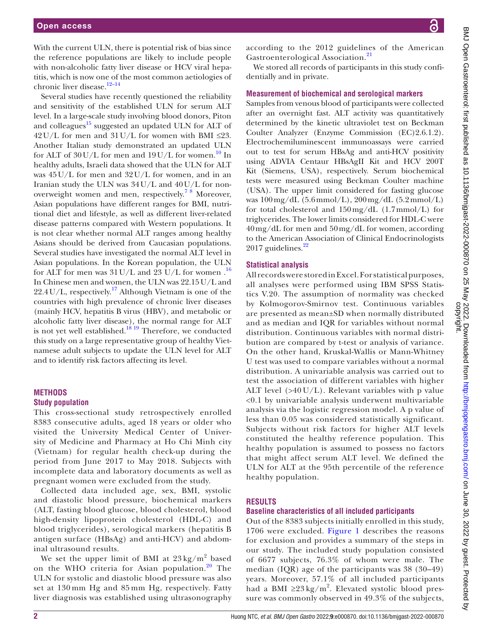With the current ULN, there is potential risk of bias since the reference populations are likely to include people with non-alcoholic fatty liver disease or HCV viral hepatitis, which is now one of the most common aetiologies of chronic liver disease.<sup>12-14</sup>

Several studies have recently questioned the reliability and sensitivity of the established ULN for serum ALT level. In a large-scale study involving blood donors, Piton and colleagues<sup>15</sup> suggested an updated ULN for ALT of  $42 \text{ U/L}$  for men and  $31 \text{ U/L}$  for women with BMI  $\leq 23$ . Another Italian study demonstrated an updated ULN for ALT of  $30$ U/L for men and  $19$ U/L for women.<sup>10</sup> In healthy adults, Israeli data showed that the ULN for ALT was 45U/L for men and 32U/L for women, and in an Iranian study the ULN was 34U/L and 40U/L for nonoverweight women and men, respectively.<sup>78</sup> Moreover, Asian populations have different ranges for BMI, nutritional diet and lifestyle, as well as different liver-related disease patterns compared with Western populations. It is not clear whether normal ALT ranges among healthy Asians should be derived from Caucasian populations. Several studies have investigated the normal ALT level in Asian populations. In the Korean population, the ULN for ALT for men was  $31$  U/L and  $23$  U/L for women  $.16$  $.16$ In Chinese men and women, the ULN was 22.15U/L and  $22.4 \mathrm{U/L}$ , respectively.<sup>17</sup> Although Vietnam is one of the countries with high prevalence of chronic liver diseases (mainly HCV, hepatitis B virus (HBV), and metabolic or alcoholic fatty liver disease), the normal range for ALT is not yet well established.<sup>18 19</sup> Therefore, we conducted this study on a large representative group of healthy Vietnamese adult subjects to update the ULN level for ALT and to identify risk factors affecting its level.

## **METHODS**

#### **Study population**

This cross-sectional study retrospectively enrolled 8383 consecutive adults, aged 18 years or older who visited the University Medical Center of University of Medicine and Pharmacy at Ho Chi Minh city (Vietnam) for regular health check-up during the period from June 2017 to May 2018. Subjects with incomplete data and laboratory documents as well as pregnant women were excluded from the study.

Collected data included age, sex, BMI, systolic and diastolic blood pressure, biochemical markers (ALT, fasting blood glucose, blood cholesterol, blood high-density lipoprotein cholesterol (HDL-C) and blood triglycerides), serological markers (hepatitis B antigen surface (HBsAg) and anti-HCV) and abdominal ultrasound results.

We set the upper limit of BMI at  $23 \text{ kg/m}^2$  based on the WHO criteria for Asian population. $20$  The ULN for systolic and diastolic blood pressure was also set at 130 mm Hg and 85 mm Hg, respectively. Fatty liver diagnosis was established using ultrasonography

according to the 2012 guidelines of the American Gastroenterological Association.<sup>[21](#page-5-14)</sup>

We stored all records of participants in this study confidentially and in private.

### **Measurement of biochemical and serological markers**

Samples from venous blood of participants were collected after an overnight fast. ALT activity was quantitatively determined by the kinetic ultraviolet test on Beckman Coulter Analyzer (Enzyme Commission (EC)2.6.1.2). Electrochemiluminescent immunoassays were carried out to test for serum HBsAg and anti-HCV positivity using ADVIA Centaur HBsAgII Kit and HCV 200T Kit (Siemens, USA), respectively. Serum biochemical tests were measured using Beckman Coulter machine (USA). The upper limit considered for fasting glucose was 100mg/dL (5.6mmol/L), 200mg/dL (5.2mmol/L) for total cholesterol and  $150 \,\text{mg/dL}$  (1.7mmol/L) for triglycerides. The lower limits considered for HDL-C were 40mg/dL for men and 50mg/dL for women, according to the American Association of Clinical Endocrinologists  $2017$  guidelines. $22$ 

## **Statistical analysis**

All records were stored in Excel. For statistical purposes, all analyses were performed using IBM SPSS Statistics V.20. The assumption of normality was checked by Kolmogorov-Smirnov test. Continuous variables are presented as mean±SD when normally distributed and as median and IQR for variables without normal distribution. Continuous variables with normal distribution are compared by t-test or analysis of variance. On the other hand, Kruskal-Wallis or Mann-Whitney U test was used to compare variables without a normal distribution. A univariable analysis was carried out to test the association of different variables with higher ALT level  $(>40 U/L)$ . Relevant variables with p value <0.1 by univariable analysis underwent multivariable analysis via the logistic regression model. A p value of less than 0.05 was considered statistically significant. Subjects without risk factors for higher ALT levels constituted the healthy reference population. This healthy population is assumed to possess no factors that might affect serum ALT level. We defined the ULN for ALT at the 95th percentile of the reference healthy population.

#### **RESULTS**

#### **Baseline characteristics of all included participants**

Out of the 8383 subjects initially enrolled in this study, 1706 were excluded. [Figure](#page-2-0) 1 describes the reasons for exclusion and provides a summary of the steps in our study. The included study population consisted of 6677 subjects, 76.3% of whom were male. The median (IQR) age of the participants was 38 (30–49) years. Moreover, 57.1% of all included participants had a BMI  $\geq 23 \text{ kg/m}^2$ . Elevated systolic blood pressure was commonly observed in 49.3% of the subjects,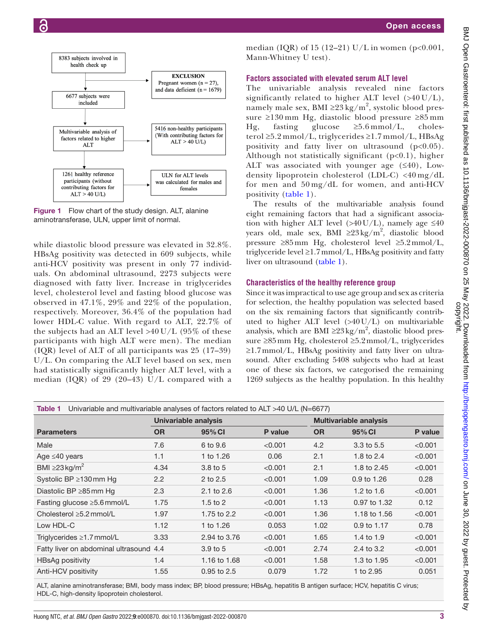

<span id="page-2-0"></span>Figure 1 Flow chart of the study design. ALT, alanine aminotransferase, ULN, upper limit of normal.

while diastolic blood pressure was elevated in 32.8%. HBsAg positivity was detected in 609 subjects, while anti-HCV positivity was present in only 77 individuals. On abdominal ultrasound, 2273 subjects were diagnosed with fatty liver. Increase in triglycerides level, cholesterol level and fasting blood glucose was observed in 47.1%, 29% and 22% of the population, respectively. Moreover, 36.4% of the population had lower HDL-C value. With regard to ALT, 22.7% of the subjects had an ALT level  $>40$  U/L (95% of these participants with high ALT were men). The median (IQR) level of ALT of all participants was 25 (17–39) U/L. On comparing the ALT level based on sex, men had statistically significantly higher ALT level, with a median (IQR) of 29 (20–43) U/L compared with a

median (IQR) of 15 (12–21) U/L in women ( $p<0.001$ , Mann-Whitney U test).

# **Factors associated with elevated serum ALT level**

The univariable analysis revealed nine factors significantly related to higher ALT level  $(>40 U/L)$ , namely male sex, BMI ≥23 kg/m<sup>2</sup>, systolic blood pressure ≥130 mm Hg, diastolic blood pressure ≥85 mm Hg, fasting glucose  $\geq 5.6$  mmol/L, cholesterol ≥5.2 mmol/L, triglycerides ≥1.7 mmol/L, HBsAg positivity and fatty liver on ultrasound  $(p<0.05)$ . Although not statistically significant  $(p<0.1)$ , higher ALT was associated with younger age  $(≤40)$ , Lowdensity lipoprotein cholesterol (LDL-C) <40 mg/dL for men and 50 mg/dL for women, and anti-HCV positivity ([table](#page-2-1) 1).

The results of the multivariable analysis found eight remaining factors that had a significant association with higher ALT level (>40U/L), namely age  $\leq 40$ years old, male sex, BMI  $\geq 23 \text{ kg/m}^2$ , diastolic blood pressure ≥85mm Hg, cholesterol level ≥5.2mmol/L, triglyceride level  $\geq 1.7$  mmol/L, HBsAg positivity and fatty liver on ultrasound ([table](#page-2-1) 1).

# **Characteristics of the healthy reference group**

Since it was impractical to use age group and sex as criteria for selection, the healthy population was selected based on the six remaining factors that significantly contributed to higher ALT level (>40U/L) on multivariable analysis, which are BMI  $\geq$ 23 kg/m<sup>2</sup>, diastolic blood pressure ≥85mm Hg, cholesterol ≥5.2mmol/L, triglycerides ≥1.7mmol/L, HBsAg positivity and fatty liver on ultrasound. After excluding 5408 subjects who had at least one of these six factors, we categorised the remaining 1269 subjects as the healthy population. In this healthy

<span id="page-2-1"></span>

| Univariable and multivariable analyses of factors related to ALT >40 U/L (N=6677)<br>Table 1 |                      |                     |         |                               |                        |         |
|----------------------------------------------------------------------------------------------|----------------------|---------------------|---------|-------------------------------|------------------------|---------|
|                                                                                              | Univariable analysis |                     |         | <b>Multivariable analysis</b> |                        |         |
| <b>Parameters</b>                                                                            | <b>OR</b>            | 95% CI              | P value | <b>OR</b>                     | 95% CI                 | P value |
| Male                                                                                         | 7.6                  | 6 to 9.6            | < 0.001 | 4.2                           | 3.3 to 5.5             | < 0.001 |
| Age $\leq 40$ years                                                                          | 1.1                  | 1 to 1.26           | 0.06    | 2.1                           | 1.8 to 2.4             | < 0.001 |
| BMI $\geq$ 23 kg/m <sup>2</sup>                                                              | 4.34                 | 3.8 to 5            | < 0.001 | 2.1                           | 1.8 to 2.45            | < 0.001 |
| Systolic BP $\geq$ 130 mm Hq                                                                 | 2.2                  | $2$ to $2.5$        | < 0.001 | 1.09                          | 0.9 to 1.26            | 0.28    |
| Diastolic BP $\geq$ 85 mm Hg                                                                 | 2.3                  | 2.1 to 2.6          | < 0.001 | 1.36                          | 1.2 to $1.6$           | < 0.001 |
| Fasting glucose $\geq 5.6$ mmol/L                                                            | 1.75                 | 1.5 to 2            | < 0.001 | 1.13                          | 0.97 to 1.32           | 0.12    |
| Cholesterol $\geq$ 5.2 mmol/L                                                                | 1.97                 | 1.75 to 2.2         | < 0.001 | 1.36                          | 1.18 to 1.56           | < 0.001 |
| Low HDL-C                                                                                    | 1.12                 | 1 to 1.26           | 0.053   | 1.02                          | $0.9 \text{ to } 1.17$ | 0.78    |
| Triglycerides ≥1.7 mmol/L                                                                    | 3.33                 | 2.94 to 3.76        | < 0.001 | 1.65                          | 1.4 to 1.9             | < 0.001 |
| Fatty liver on abdominal ultrasound 4.4                                                      |                      | 3.9 <sub>to</sub> 5 | < 0.001 | 2.74                          | 2.4 to 3.2             | < 0.001 |
| HBsAg positivity                                                                             | 1.4                  | 1.16 to 1.68        | < 0.001 | 1.58                          | 1.3 to 1.95            | < 0.001 |
| Anti-HCV positivity                                                                          | 1.55                 | $0.95$ to 2.5       | 0.079   | 1.72                          | 1 to 2.95              | 0.051   |
|                                                                                              |                      |                     |         |                               |                        |         |

ALT, alanine aminotransferase; BMI, body mass index; BP, blood pressure; HBsAg, hepatitis B antigen surface; HCV, hepatitis C virus; HDL-C, high-density lipoprotein cholesterol.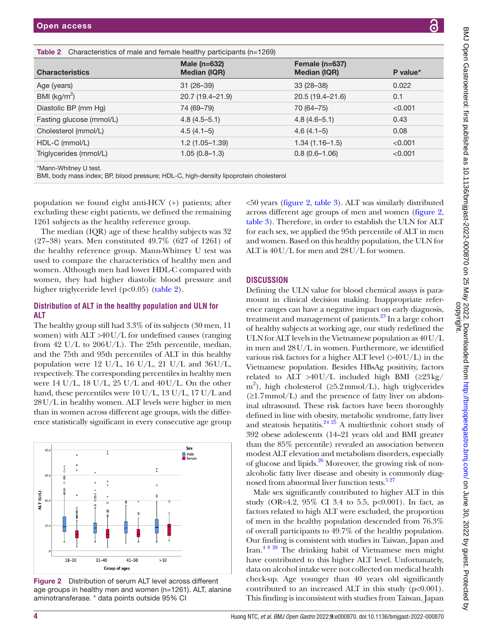|  | !<br>)<br>)<br>)<br>$\frac{1}{2}$<br>י לי השלושי א<br>;<br>;<br>ופי המה ה<br><b>DANA from PH</b><br>りこ りょうりょう りょうしょう |
|--|----------------------------------------------------------------------------------------------------------------------|
|--|----------------------------------------------------------------------------------------------------------------------|

<span id="page-3-0"></span>

| <b>Table 2</b> Characteristics of male and female healthy participants $(n=1269)$ |                                       |                                  |          |  |  |  |
|-----------------------------------------------------------------------------------|---------------------------------------|----------------------------------|----------|--|--|--|
| <b>Characteristics</b>                                                            | Male $(n=632)$<br><b>Median (IQR)</b> | Female $(n=637)$<br>Median (IQR) | P value* |  |  |  |
| Age (years)                                                                       | $31(26-39)$                           | $33(28-38)$                      | 0.022    |  |  |  |
| BMI ( $\text{kg/m}^2$ )                                                           | 20.7 (19.4-21.9)                      | 20.5 (19.4–21.6)                 | 0.1      |  |  |  |
| Diastolic BP (mm Hg)                                                              | 74 (69-79)                            | 70 (64 - 75)                     | < 0.001  |  |  |  |
| Fasting glucose (mmol/L)                                                          | $4.8(4.5-5.1)$                        | $4.8(4.6 - 5.1)$                 | 0.43     |  |  |  |
| Cholesterol (mmol/L)                                                              | $4.5(4.1-5)$                          | $4.6(4.1-5)$                     | 0.08     |  |  |  |
| HDL-C (mmol/L)                                                                    | $1.2(1.05 - 1.39)$                    | $1.34(1.16-1.5)$                 | < 0.001  |  |  |  |
| Triglycerides (mmol/L)                                                            | $1.05(0.8-1.3)$                       | $0.8(0.6 - 1.06)$                | < 0.001  |  |  |  |
| *Mann-Whitney U test.                                                             |                                       |                                  |          |  |  |  |

BMI, body mass index; BP, blood pressure; HDL-C, high-density lipoprotein cholesterol

population we found eight anti-HCV (+) patients; after excluding these eight patients, we defined the remaining 1261 subjects as the healthy reference group.

The median (IQR) age of these healthy subjects was 32 (27–38) years. Men constituted 49.7% (627 of 1261) of the healthy reference group. Mann-Whitney U test was used to compare the characteristics of healthy men and women. Although men had lower HDL-C compared with women, they had higher diastolic blood pressure and higher triglyceride level (p<0.05) ([table](#page-3-0) 2).

# **Distribution of ALT in the healthy population and ULN for ALT**

The healthy group still had 3.3% of its subjects (30 men, 11 women) with ALT >40U/L for undefined causes (ranging from 42 U/L to 206U/L). The 25th percentile, median, and the 75th and 95th percentiles of ALT in this healthy population were 12 U/L, 16 U/L, 21 U/L and 36U/L, respectively. The corresponding percentiles in healthy men were 14 U/L, 18 U/L, 25 U/L and 40U/L. On the other hand, these percentiles were 10 U/L, 13 U/L, 17 U/L and 28U/L in healthy women. ALT levels were higher in men than in women across different age groups, with the difference statistically significant in every consecutive age group



<span id="page-3-1"></span>Figure 2 Distribution of serum ALT level across different age groups in healthy men and women (n=1261). ALT, alanine aminotransferase. \* data points outside 95% CI

<50 years [\(figure](#page-3-1) 2, [table](#page-4-0) 3). ALT was similarly distributed across different age groups of men and women [\(figure](#page-3-1) 2, [table](#page-4-0) 3). Therefore, in order to establish the ULN for ALT for each sex, we applied the 95th percentile of ALT in men and women. Based on this healthy population, the ULN for ALT is 40U/L for men and 28U/L for women.

## **DISCUSSION**

Defining the ULN value for blood chemical assays is paramount in clinical decision making. Inappropriate reference ranges can have a negative impact on early diagnosis, treatment and management of patients.<sup>23</sup> In a large cohort of healthy subjects at working age, our study redefined the ULN for ALT levels in the Vietnamese population as 40U/L in men and 28U/L in women. Furthermore, we identified various risk factors for a higher ALT level (>40U/L) in the Vietnamese population. Besides HBsAg positivity, factors related to ALT >40U/L included high BMI ( $\geq 23 \text{ kg}/$ m2 ), high cholesterol (≥5.2mmol/L), high triglycerides  $(\geq 1.7$ mmol/L) and the presence of fatty liver on abdominal ultrasound. These risk factors have been thoroughly defined in line with obesity, metabolic syndrome, fatty liver and steatosis hepatitis.<sup>24 25</sup> A multiethnic cohort study of 392 obese adolescents (14–21 years old and BMI greater than the 85% percentile) revealed an association between modest ALT elevation and metabolism disorders, especially of glucose and lipids.<sup>26</sup> Moreover, the growing risk of nonalcoholic fatty liver disease and obesity is commonly diagnosed from abnormal liver function tests.<sup>527</sup>

Male sex significantly contributed to higher ALT in this study (OR=4.2, 95% CI 3.4 to 5.5, p<0.001). In fact, as factors related to high ALT were excluded, the proportion of men in the healthy population descended from 76.3% of overall participants to 49.7% of the healthy population. Our finding is consistent with studies in Taiwan, Japan and Iran[.4 8 28](#page-5-2) The drinking habit of Vietnamese men might have contributed to this higher ALT level. Unfortunately, data on alcohol intake were not collected on medical health check-up. Age younger than 40 years old significantly contributed to an increased ALT in this study  $(p<0.001)$ . This finding is inconsistent with studies from Taiwan, Japan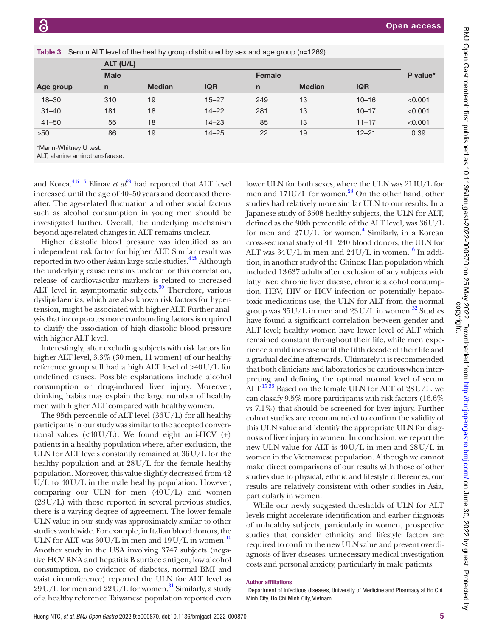<span id="page-4-0"></span>

|           |              | ALT (U/L)     |            |              |               |            |         |
|-----------|--------------|---------------|------------|--------------|---------------|------------|---------|
|           | <b>Male</b>  |               |            |              | <b>Female</b> |            |         |
| Age group | $\mathsf{n}$ | <b>Median</b> | <b>IQR</b> | $\mathsf{n}$ | <b>Median</b> | <b>IQR</b> |         |
| $18 - 30$ | 310          | 19            | $15 - 27$  | 249          | 13            | $10 - 16$  | < 0.001 |
| $31 - 40$ | 181          | 18            | $14 - 22$  | 281          | 13            | $10 - 17$  | < 0.001 |
| $41 - 50$ | 55           | 18            | $14 - 23$  | 85           | 13            | $11 - 17$  | < 0.001 |
| >50       | 86           | 19            | $14 - 25$  | 22           | 19            | $12 - 21$  | 0.39    |

ALT, alanine aminotransferase.

and Korea.<sup>45 16</sup> Elinav *et al*<sup>29</sup> had reported that ALT level increased until the age of 40–50 years and decreased thereafter. The age-related fluctuation and other social factors such as alcohol consumption in young men should be investigated further. Overall, the underlying mechanism beyond age-related changes in ALT remains unclear.

Higher diastolic blood pressure was identified as an independent risk factor for higher ALT. Similar result was reported in two other Asian large-scale studies.<sup>428</sup> Although the underlying cause remains unclear for this correlation, release of cardiovascular markers is related to increased ALT level in asymptomatic subjects.<sup>30</sup> Therefore, various dyslipidaemias, which are also known risk factors for hypertension, might be associated with higher ALT. Further analysis that incorporates more confounding factors is required to clarify the association of high diastolic blood pressure with higher ALT level.

Interestingly, after excluding subjects with risk factors for higher ALT level, 3.3% (30 men, 11 women) of our healthy reference group still had a high ALT level of >40U/L for undefined causes. Possible explanations include alcohol consumption or drug-induced liver injury. Moreover, drinking habits may explain the large number of healthy men with higher ALT compared with healthy women.

The 95th percentile of ALT level  $(36 U/L)$  for all healthy participants in our study was similar to the accepted conventional values  $\langle \langle 40 \text{U/L} \rangle$ . We found eight anti-HCV  $(+)$ patients in a healthy population where, after exclusion, the ULN for ALT levels constantly remained at 36U/L for the healthy population and at 28U/L for the female healthy population. Moreover, this value slightly decreased from 42 U/L to 40U/L in the male healthy population. However, comparing our ULN for men (40U/L) and women (28U/L) with those reported in several previous studies, there is a varying degree of agreement. The lower female ULN value in our study was approximately similar to other studies worldwide. For example, in Italian blood donors, the ULN for ALT was  $30$ U/L in men and  $19$ U/L in women.<sup>[10](#page-5-5)</sup> Another study in the USA involving 3747 subjects (negative HCV RNA and hepatitis B surface antigen, low alcohol consumption, no evidence of diabetes, normal BMI and waist circumference) reported the ULN for ALT level as  $29$  U/L for men and  $22$  U/L for women.<sup>31</sup> Similarly, a study of a healthy reference Taiwanese population reported even

lower ULN for both sexes, where the ULN was 21IU/L for men and  $17$ IU/L for women.<sup>[28](#page-5-22)</sup> On the other hand, other studies had relatively more similar ULN to our results. In a Japanese study of 3508 healthy subjects, the ULN for ALT, defined as the 90th percentile of the ALT level, was 36U/L for men and  $27$ U/L for women.<sup>4</sup> Similarly, in a Korean cross-sectional study of 411240 blood donors, the ULN for ALT was  $34$ U/L in men and  $24$ U/L in women.<sup>16</sup> In addition, in another study of the Chinese Han population which included 13637 adults after exclusion of any subjects with fatty liver, chronic liver disease, chronic alcohol consumption, HBV, HIV or HCV infection or potentially hepatotoxic medications use, the ULN for ALT from the normal group was  $35 U/L$  in men and  $23 U/L$  in women.<sup>[32](#page-5-23)</sup> Studies have found a significant correlation between gender and ALT level; healthy women have lower level of ALT which remained constant throughout their life, while men experience a mild increase until the fifth decade of their life and a gradual decline afterwards. Ultimately it is recommended that both clinicians and laboratories be cautious when interpreting and defining the optimal normal level of serum ALT.<sup>15 33</sup> Based on the female ULN for ALT of  $28$  U/L, we can classify 9.5% more participants with risk factors (16.6% vs 7.1%) that should be screened for liver injury. Further cohort studies are recommended to confirm the validity of this ULN value and identify the appropriate ULN for diagnosis of liver injury in women. In conclusion, we report the new ULN value for ALT is 40U/L in men and 28U/L in women in the Vietnamese population. Although we cannot make direct comparisons of our results with those of other studies due to physical, ethnic and lifestyle differences, our results are relatively consistent with other studies in Asia, particularly in women.

While our newly suggested thresholds of ULN for ALT levels might accelerate identification and earlier diagnosis of unhealthy subjects, particularly in women, prospective studies that consider ethnicity and lifestyle factors are required to confirm the new ULN value and prevent overdiagnosis of liver diseases, unnecessary medical investigation costs and personal anxiety, particularly in male patients.

#### Author affiliations

<sup>1</sup>Department of Infectious diseases, University of Medicine and Pharmacy at Ho Chi Minh City, Ho Chi Minh City, Vietnam